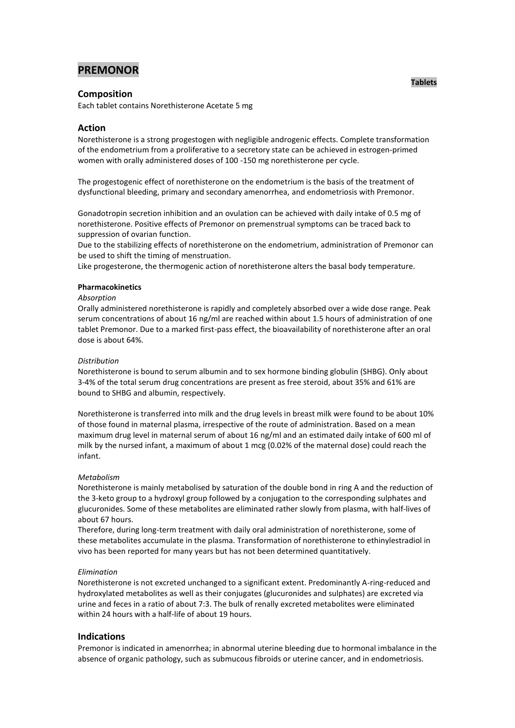# **PREMONOR**

### **Composition**

Each tablet contains Norethisterone Acetate 5 mg

### **Action**

Norethisterone is a strong progestogen with negligible androgenic effects. Complete transformation of the endometrium from a proliferative to a secretory state can be achieved in estrogen-primed women with orally administered doses of 100 -150 mg norethisterone per cycle.

The progestogenic effect of norethisterone on the endometrium is the basis of the treatment of dysfunctional bleeding, primary and secondary amenorrhea, and endometriosis with Premonor.

Gonadotropin secretion inhibition and an ovulation can be achieved with daily intake of 0.5 mg of norethisterone. Positive effects of Premonor on premenstrual symptoms can be traced back to suppression of ovarian function.

Due to the stabilizing effects of norethisterone on the endometrium, administration of Premonor can be used to shift the timing of menstruation.

Like progesterone, the thermogenic action of norethisterone alters the basal body temperature.

#### **Pharmacokinetics**

#### *Absorption*

Orally administered norethisterone is rapidly and completely absorbed over a wide dose range. Peak serum concentrations of about 16 ng/ml are reached within about 1.5 hours of administration of one tablet Premonor. Due to a marked first-pass effect, the bioavailability of norethisterone after an oral dose is about 64%.

#### *Distribution*

Norethisterone is bound to serum albumin and to sex hormone binding globulin (SHBG). Only about 3-4% of the total serum drug concentrations are present as free steroid, about 35% and 61% are bound to SHBG and albumin, respectively.

Norethisterone is transferred into milk and the drug levels in breast milk were found to be about 10% of those found in maternal plasma, irrespective of the route of administration. Based on a mean maximum drug level in maternal serum of about 16 ng/ml and an estimated daily intake of 600 ml of milk by the nursed infant, a maximum of about 1 mcg (0.02% of the maternal dose) could reach the infant.

#### *Metabolism*

Norethisterone is mainly metabolised by saturation of the double bond in ring A and the reduction of the 3-keto group to a hydroxyl group followed by a conjugation to the corresponding sulphates and glucuronides. Some of these metabolites are eliminated rather slowly from plasma, with half-lives of about 67 hours.

Therefore, during long-term treatment with daily oral administration of norethisterone, some of these metabolites accumulate in the plasma. Transformation of norethisterone to ethinylestradiol in vivo has been reported for many years but has not been determined quantitatively.

#### *Elimination*

Norethisterone is not excreted unchanged to a significant extent. Predominantly A-ring-reduced and hydroxylated metabolites as well as their conjugates (glucuronides and sulphates) are excreted via urine and feces in a ratio of about 7:3. The bulk of renally excreted metabolites were eliminated within 24 hours with a half-life of about 19 hours.

### **Indications**

Premonor is indicated in amenorrhea; in abnormal uterine bleeding due to hormonal imbalance in the absence of organic pathology, such as submucous fibroids or uterine cancer, and in endometriosis.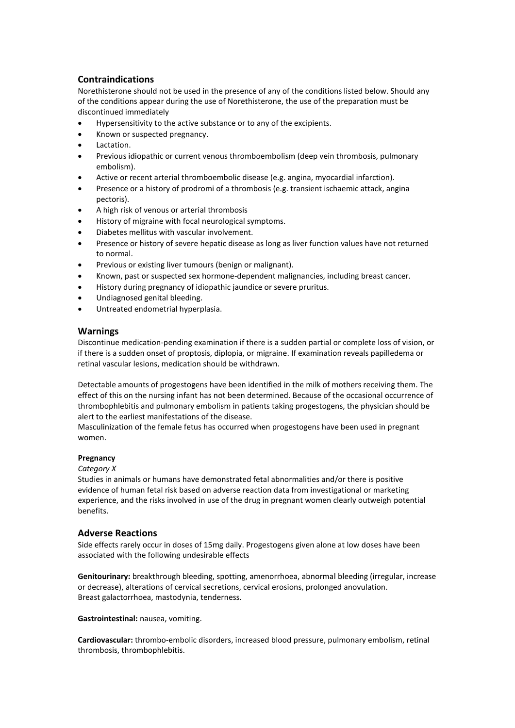## **Contraindications**

Norethisterone should not be used in the presence of any of the conditions listed below. Should any of the conditions appear during the use of Norethisterone, the use of the preparation must be discontinued immediately

- Hypersensitivity to the active substance or to any of the excipients.
- Known or suspected pregnancy.
- Lactation.
- Previous idiopathic or current venous thromboembolism (deep vein thrombosis, pulmonary embolism).
- Active or recent arterial thromboembolic disease (e.g. angina, myocardial infarction).
- Presence or a history of prodromi of a thrombosis (e.g. transient ischaemic attack, angina pectoris).
- A high risk of venous or arterial thrombosis
- History of migraine with focal neurological symptoms.
- Diabetes mellitus with vascular involvement.
- Presence or history of severe hepatic disease as long as liver function values have not returned to normal.
- Previous or existing liver tumours (benign or malignant).
- Known, past or suspected sex hormone-dependent malignancies, including breast cancer.
- History during pregnancy of idiopathic jaundice or severe pruritus.
- Undiagnosed genital bleeding.
- Untreated endometrial hyperplasia.

### **Warnings**

Discontinue medication-pending examination if there is a sudden partial or complete loss of vision, or if there is a sudden onset of proptosis, diplopia, or migraine. If examination reveals papilledema or retinal vascular lesions, medication should be withdrawn.

Detectable amounts of progestogens have been identified in the milk of mothers receiving them. The effect of this on the nursing infant has not been determined. Because of the occasional occurrence of thrombophlebitis and pulmonary embolism in patients taking progestogens, the physician should be alert to the earliest manifestations of the disease.

Masculinization of the female fetus has occurred when progestogens have been used in pregnant women.

### **Pregnancy**

### *Category X*

Studies in animals or humans have demonstrated fetal abnormalities and/or there is positive evidence of human fetal risk based on adverse reaction data from investigational or marketing experience, and the risks involved in use of the drug in pregnant women clearly outweigh potential benefits.

### **Adverse Reactions**

Side effects rarely occur in doses of 15mg daily. Progestogens given alone at low doses have been associated with the following undesirable effects

**Genitourinary:** breakthrough bleeding, spotting, amenorrhoea, abnormal bleeding (irregular, increase or decrease), alterations of cervical secretions, cervical erosions, prolonged anovulation. Breast galactorrhoea, mastodynia, tenderness.

### **Gastrointestinal:** nausea, vomiting.

**Cardiovascular:** thrombo-embolic disorders, increased blood pressure, pulmonary embolism, retinal thrombosis, thrombophlebitis.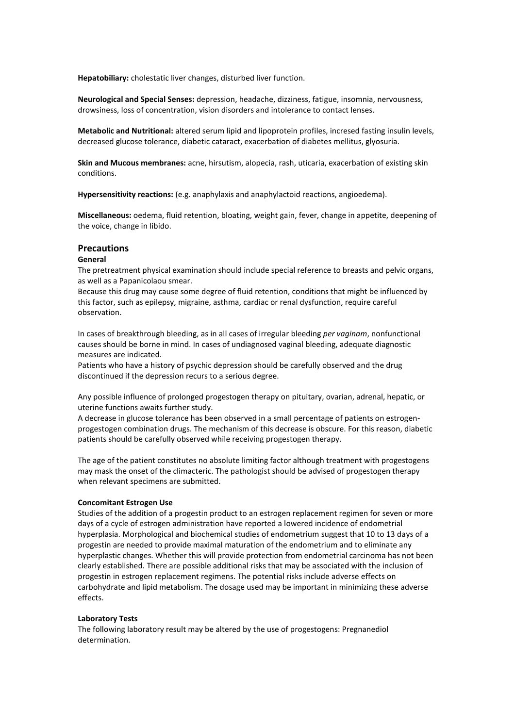**Hepatobiliary:** cholestatic liver changes, disturbed liver function.

**Neurological and Special Senses:** depression, headache, dizziness, fatigue, insomnia, nervousness, drowsiness, loss of concentration, vision disorders and intolerance to contact lenses.

**Metabolic and Nutritional:** altered serum lipid and lipoprotein profiles, incresed fasting insulin levels, decreased glucose tolerance, diabetic cataract, exacerbation of diabetes mellitus, glyosuria.

**Skin and Mucous membranes:** acne, hirsutism, alopecia, rash, uticaria, exacerbation of existing skin conditions.

**Hypersensitivity reactions:** (e.g. anaphylaxis and anaphylactoid reactions, angioedema).

**Miscellaneous:** oedema, fluid retention, bloating, weight gain, fever, change in appetite, deepening of the voice, change in libido.

#### **Precautions**

#### **General**

The pretreatment physical examination should include special reference to breasts and pelvic organs, as well as a Papanicolaou smear.

Because this drug may cause some degree of fluid retention, conditions that might be influenced by this factor, such as epilepsy, migraine, asthma, cardiac or renal dysfunction, require careful observation.

In cases of breakthrough bleeding, as in all cases of irregular bleeding *per vaginam*, nonfunctional causes should be borne in mind. In cases of undiagnosed vaginal bleeding, adequate diagnostic measures are indicated.

Patients who have a history of psychic depression should be carefully observed and the drug discontinued if the depression recurs to a serious degree.

Any possible influence of prolonged progestogen therapy on pituitary, ovarian, adrenal, hepatic, or uterine functions awaits further study.

A decrease in glucose tolerance has been observed in a small percentage of patients on estrogenprogestogen combination drugs. The mechanism of this decrease is obscure. For this reason, diabetic patients should be carefully observed while receiving progestogen therapy.

The age of the patient constitutes no absolute limiting factor although treatment with progestogens may mask the onset of the climacteric. The pathologist should be advised of progestogen therapy when relevant specimens are submitted.

#### **Concomitant Estrogen Use**

Studies of the addition of a progestin product to an estrogen replacement regimen for seven or more days of a cycle of estrogen administration have reported a lowered incidence of endometrial hyperplasia. Morphological and biochemical studies of endometrium suggest that 10 to 13 days of a progestin are needed to provide maximal maturation of the endometrium and to eliminate any hyperplastic changes. Whether this will provide protection from endometrial carcinoma has not been clearly established. There are possible additional risks that may be associated with the inclusion of progestin in estrogen replacement regimens. The potential risks include adverse effects on carbohydrate and lipid metabolism. The dosage used may be important in minimizing these adverse effects.

#### **Laboratory Tests**

The following laboratory result may be altered by the use of progestogens: Pregnanediol determination.